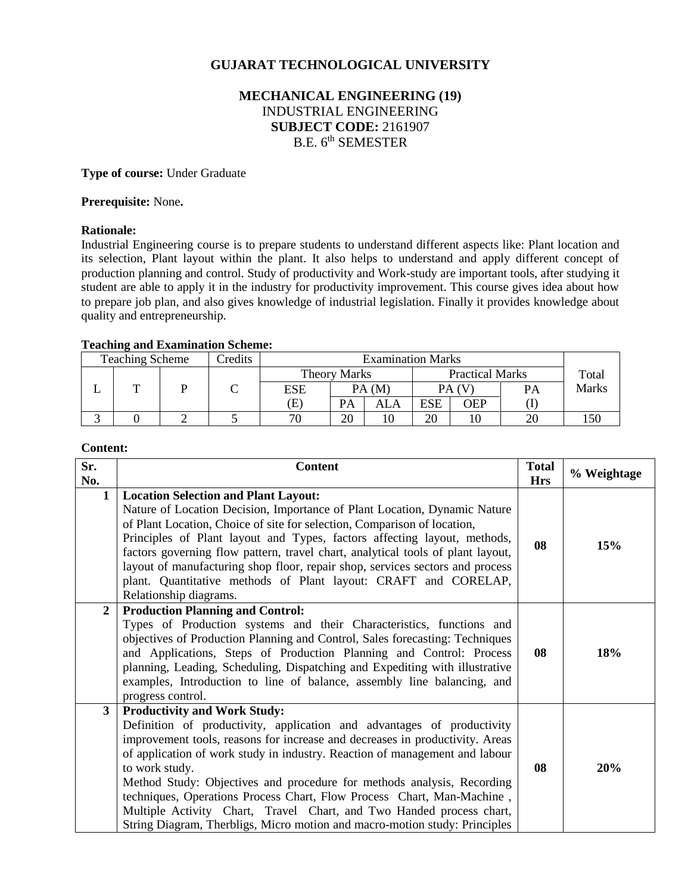# **GUJARAT TECHNOLOGICAL UNIVERSITY**

# **MECHANICAL ENGINEERING (19)** INDUSTRIAL ENGINEERING **SUBJECT CODE:** 2161907 B.E. 6<sup>th</sup> SEMESTER

### **Type of course:** Under Graduate

### **Prerequisite:** None**.**

# **Rationale:**

Industrial Engineering course is to prepare students to understand different aspects like: Plant location and its selection, Plant layout within the plant. It also helps to understand and apply different concept of production planning and control. Study of productivity and Work-study are important tools, after studying it student are able to apply it in the industry for productivity improvement. This course gives idea about how to prepare job plan, and also gives knowledge of industrial legislation. Finally it provides knowledge about quality and entrepreneurship.

# **Teaching and Examination Scheme:**

| <b>Teaching Scheme</b> | Credits |     |                                               |     | <b>Examination Marks</b> |       |    |              |
|------------------------|---------|-----|-----------------------------------------------|-----|--------------------------|-------|----|--------------|
|                        |         |     | <b>Practical Marks</b><br><b>Theory Marks</b> |     |                          | Total |    |              |
| m                      |         | ESE | PA(M)                                         |     | PA (V                    |       | PA | <b>Marks</b> |
|                        |         | E)  | PA                                            | ALA | ESE                      | OEP   |    |              |
|                        |         | 70  | 20                                            | 10  | 20                       | 10    | 20 |              |

# **Content:**

| Sr.<br>No.     | <b>Content</b>                                                                                                                                                                                                                                                                                                                                                                                                                                                                                                                                                                                           | <b>Total</b><br><b>Hrs</b> | % Weightage |
|----------------|----------------------------------------------------------------------------------------------------------------------------------------------------------------------------------------------------------------------------------------------------------------------------------------------------------------------------------------------------------------------------------------------------------------------------------------------------------------------------------------------------------------------------------------------------------------------------------------------------------|----------------------------|-------------|
| $\mathbf{1}$   | <b>Location Selection and Plant Layout:</b><br>Nature of Location Decision, Importance of Plant Location, Dynamic Nature<br>of Plant Location, Choice of site for selection, Comparison of location,<br>Principles of Plant layout and Types, factors affecting layout, methods,<br>factors governing flow pattern, travel chart, analytical tools of plant layout,<br>layout of manufacturing shop floor, repair shop, services sectors and process<br>plant. Quantitative methods of Plant layout: CRAFT and CORELAP,<br>Relationship diagrams.                                                        | 08                         | 15%         |
| $\overline{2}$ | <b>Production Planning and Control:</b><br>Types of Production systems and their Characteristics, functions and<br>objectives of Production Planning and Control, Sales forecasting: Techniques<br>and Applications, Steps of Production Planning and Control: Process<br>planning, Leading, Scheduling, Dispatching and Expediting with illustrative<br>examples, Introduction to line of balance, assembly line balancing, and<br>progress control.                                                                                                                                                    | 08                         | 18%         |
| $3^{\circ}$    | <b>Productivity and Work Study:</b><br>Definition of productivity, application and advantages of productivity<br>improvement tools, reasons for increase and decreases in productivity. Areas<br>of application of work study in industry. Reaction of management and labour<br>to work study.<br>Method Study: Objectives and procedure for methods analysis, Recording<br>techniques, Operations Process Chart, Flow Process Chart, Man-Machine,<br>Multiple Activity Chart, Travel Chart, and Two Handed process chart,<br>String Diagram, Therbligs, Micro motion and macro-motion study: Principles | 08                         | 20%         |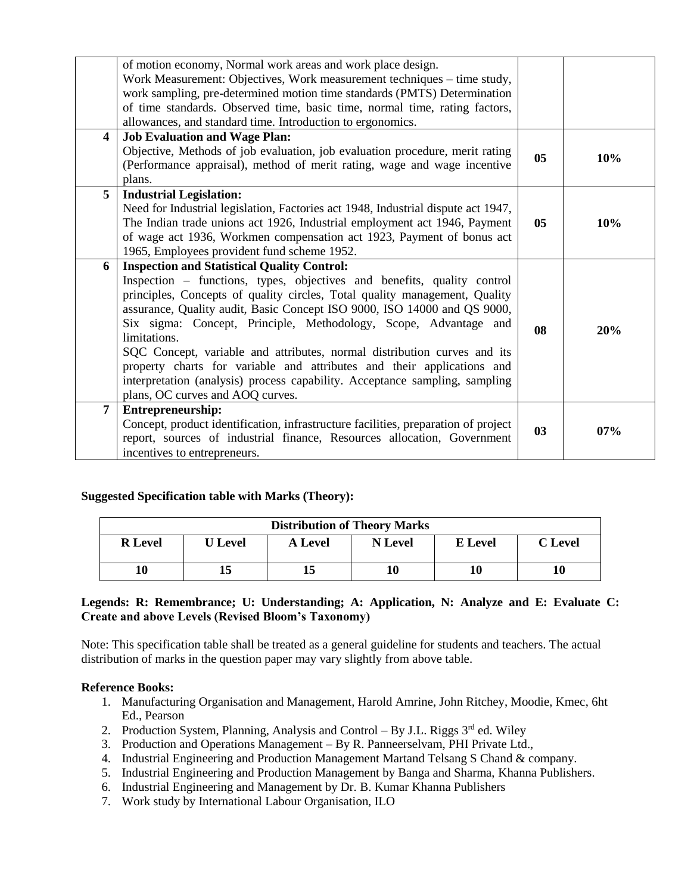|                         | of motion economy, Normal work areas and work place design.<br>Work Measurement: Objectives, Work measurement techniques - time study,<br>work sampling, pre-determined motion time standards (PMTS) Determination<br>of time standards. Observed time, basic time, normal time, rating factors,<br>allowances, and standard time. Introduction to ergonomics.                                                                                                                                                                                                                                                                                       |                |     |
|-------------------------|------------------------------------------------------------------------------------------------------------------------------------------------------------------------------------------------------------------------------------------------------------------------------------------------------------------------------------------------------------------------------------------------------------------------------------------------------------------------------------------------------------------------------------------------------------------------------------------------------------------------------------------------------|----------------|-----|
| $\overline{\mathbf{4}}$ | <b>Job Evaluation and Wage Plan:</b><br>Objective, Methods of job evaluation, job evaluation procedure, merit rating<br>(Performance appraisal), method of merit rating, wage and wage incentive<br>plans.                                                                                                                                                                                                                                                                                                                                                                                                                                           | 0 <sub>5</sub> | 10% |
| 5                       | <b>Industrial Legislation:</b><br>Need for Industrial legislation, Factories act 1948, Industrial dispute act 1947,<br>The Indian trade unions act 1926, Industrial employment act 1946, Payment<br>of wage act 1936, Workmen compensation act 1923, Payment of bonus act<br>1965, Employees provident fund scheme 1952.                                                                                                                                                                                                                                                                                                                             | 05             | 10% |
| 6                       | <b>Inspection and Statistical Quality Control:</b><br>Inspection – functions, types, objectives and benefits, quality control<br>principles, Concepts of quality circles, Total quality management, Quality<br>assurance, Quality audit, Basic Concept ISO 9000, ISO 14000 and QS 9000,<br>Six sigma: Concept, Principle, Methodology, Scope, Advantage and<br>limitations.<br>SQC Concept, variable and attributes, normal distribution curves and its<br>property charts for variable and attributes and their applications and<br>interpretation (analysis) process capability. Acceptance sampling, sampling<br>plans, OC curves and AOQ curves. | 08             | 20% |
| 7                       | <b>Entrepreneurship:</b><br>Concept, product identification, infrastructure facilities, preparation of project<br>report, sources of industrial finance, Resources allocation, Government<br>incentives to entrepreneurs.                                                                                                                                                                                                                                                                                                                                                                                                                            | 03             | 07% |

# **Suggested Specification table with Marks (Theory):**

| <b>Distribution of Theory Marks</b> |                |                |                |                |         |  |  |
|-------------------------------------|----------------|----------------|----------------|----------------|---------|--|--|
| <b>R</b> Level                      | <b>U</b> Level | <b>A</b> Level | <b>N</b> Level | <b>E</b> Level | C Level |  |  |
| 10                                  |                |                | 10             | 10             |         |  |  |

# **Legends: R: Remembrance; U: Understanding; A: Application, N: Analyze and E: Evaluate C: Create and above Levels (Revised Bloom's Taxonomy)**

Note: This specification table shall be treated as a general guideline for students and teachers. The actual distribution of marks in the question paper may vary slightly from above table.

# **Reference Books:**

- 1. Manufacturing Organisation and Management, Harold Amrine, John Ritchey, Moodie, Kmec, 6ht Ed., Pearson
- 2. Production System, Planning, Analysis and Control By J.L. Riggs  $3<sup>rd</sup>$  ed. Wiley
- 3. Production and Operations Management By R. Panneerselvam, PHI Private Ltd.,
- 4. Industrial Engineering and Production Management Martand Telsang S Chand & company.
- 5. Industrial Engineering and Production Management by Banga and Sharma, Khanna Publishers.
- 6. Industrial Engineering and Management by Dr. B. Kumar Khanna Publishers
- 7. Work study by International Labour Organisation, ILO